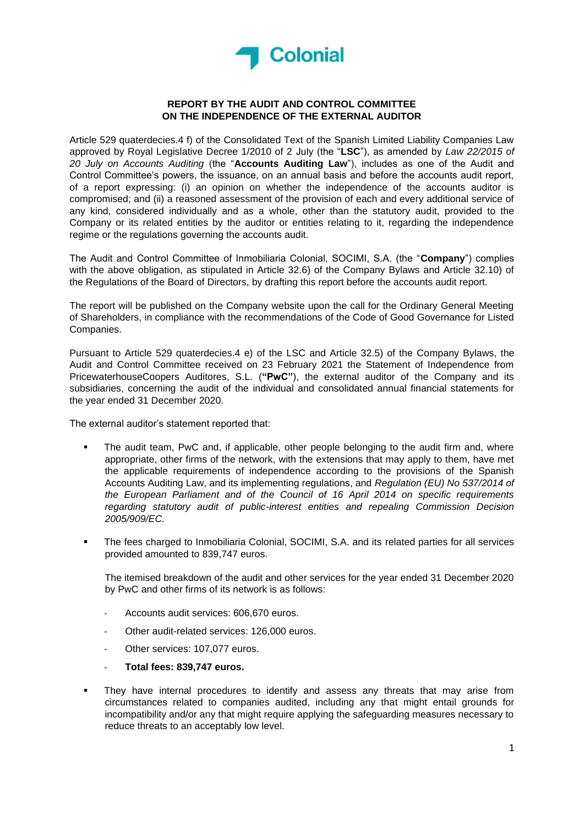

## **REPORT BY THE AUDIT AND CONTROL COMMITTEE ON THE INDEPENDENCE OF THE EXTERNAL AUDITOR**

Article 529 quaterdecies.4 f) of the Consolidated Text of the Spanish Limited Liability Companies Law approved by Royal Legislative Decree 1/2010 of 2 July (the "**LSC**"), as amended by *Law 22/2015 of 20 July on Accounts Auditing* (the "**Accounts Auditing Law**"), includes as one of the Audit and Control Committee's powers, the issuance, on an annual basis and before the accounts audit report, of a report expressing: (i) an opinion on whether the independence of the accounts auditor is compromised; and (ii) a reasoned assessment of the provision of each and every additional service of any kind, considered individually and as a whole, other than the statutory audit, provided to the Company or its related entities by the auditor or entities relating to it, regarding the independence regime or the regulations governing the accounts audit.

The Audit and Control Committee of Inmobiliaria Colonial, SOCIMI, S.A. (the "**Company**") complies with the above obligation, as stipulated in Article 32.6) of the Company Bylaws and Article 32.10) of the Regulations of the Board of Directors, by drafting this report before the accounts audit report.

The report will be published on the Company website upon the call for the Ordinary General Meeting of Shareholders, in compliance with the recommendations of the Code of Good Governance for Listed Companies.

Pursuant to Article 529 quaterdecies.4 e) of the LSC and Article 32.5) of the Company Bylaws, the Audit and Control Committee received on 23 February 2021 the Statement of Independence from PricewaterhouseCoopers Auditores, S.L. (**"PwC"**), the external auditor of the Company and its subsidiaries, concerning the audit of the individual and consolidated annual financial statements for the year ended 31 December 2020.

The external auditor's statement reported that:

- The audit team, PwC and, if applicable, other people belonging to the audit firm and, where appropriate, other firms of the network, with the extensions that may apply to them, have met the applicable requirements of independence according to the provisions of the Spanish Accounts Auditing Law, and its implementing regulations, and *Regulation (EU) No 537/2014 of the European Parliament and of the Council of 16 April 2014 on specific requirements regarding statutory audit of public-interest entities and repealing Commission Decision 2005/909/EC.*
- The fees charged to Inmobiliaria Colonial, SOCIMI, S.A. and its related parties for all services provided amounted to 839,747 euros.

The itemised breakdown of the audit and other services for the year ended 31 December 2020 by PwC and other firms of its network is as follows:

- Accounts audit services: 606,670 euros.
- Other audit-related services: 126,000 euros.
- Other services: 107,077 euros.
- **Total fees: 839,747 euros.**
- They have internal procedures to identify and assess any threats that may arise from circumstances related to companies audited, including any that might entail grounds for incompatibility and/or any that might require applying the safeguarding measures necessary to reduce threats to an acceptably low level.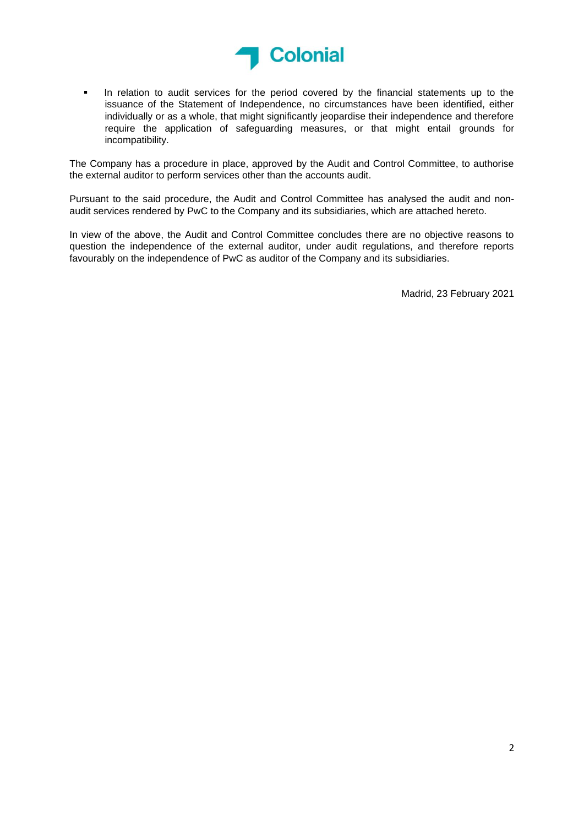

▪ In relation to audit services for the period covered by the financial statements up to the issuance of the Statement of Independence, no circumstances have been identified, either individually or as a whole, that might significantly jeopardise their independence and therefore require the application of safeguarding measures, or that might entail grounds for incompatibility.

The Company has a procedure in place, approved by the Audit and Control Committee, to authorise the external auditor to perform services other than the accounts audit.

Pursuant to the said procedure, the Audit and Control Committee has analysed the audit and nonaudit services rendered by PwC to the Company and its subsidiaries, which are attached hereto.

In view of the above, the Audit and Control Committee concludes there are no objective reasons to question the independence of the external auditor, under audit regulations, and therefore reports favourably on the independence of PwC as auditor of the Company and its subsidiaries.

Madrid, 23 February 2021